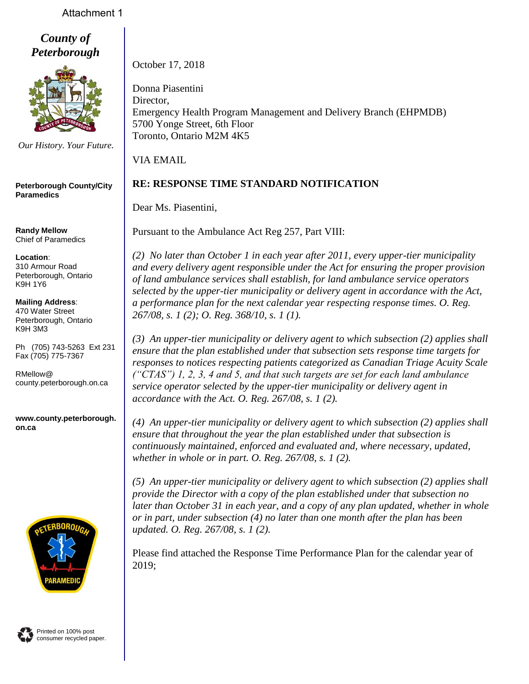## Attachment 1

*County of Peterborough*



*Our History. Your Future.*

**Peterborough County/City Paramedics**

**Randy Mellow** Chief of Paramedics

#### **Location**: 310 Armour Road Peterborough, Ontario K9H 1Y6

**Mailing Address**: 470 Water Street Peterborough, Ontario K9H 3M3

Ph (705) 743-5263 Ext 231 Fax (705) 775-7367

RMellow@ county.peterborough.on.ca

**www.county.peterborough. on.ca**



October 17, 2018

Donna Piasentini Director, Emergency Health Program Management and Delivery Branch (EHPMDB) 5700 Yonge Street, 6th Floor Toronto, Ontario M2M 4K5

VIA EMAIL

# **RE: RESPONSE TIME STANDARD NOTIFICATION**

Dear Ms. Piasentini,

Pursuant to the Ambulance Act Reg 257, Part VIII:

*(2) No later than October 1 in each year after 2011, every upper-tier municipality and every delivery agent responsible under the Act for ensuring the proper provision of land ambulance services shall establish, for land ambulance service operators selected by the upper-tier municipality or delivery agent in accordance with the Act, a performance plan for the next calendar year respecting response times. O. Reg. 267/08, s. 1 (2); O. Reg. 368/10, s. 1 (1).*

*(3) An upper-tier municipality or delivery agent to which subsection (2) applies shall ensure that the plan established under that subsection sets response time targets for responses to notices respecting patients categorized as Canadian Triage Acuity Scale ("CTAS") 1, 2, 3, 4 and 5, and that such targets are set for each land ambulance service operator selected by the upper-tier municipality or delivery agent in accordance with the Act. O. Reg. 267/08, s. 1 (2).*

*(4) An upper-tier municipality or delivery agent to which subsection (2) applies shall ensure that throughout the year the plan established under that subsection is continuously maintained, enforced and evaluated and, where necessary, updated, whether in whole or in part. O. Reg. 267/08, s. 1 (2).*

*(5) An upper-tier municipality or delivery agent to which subsection (2) applies shall provide the Director with a copy of the plan established under that subsection no later than October 31 in each year, and a copy of any plan updated, whether in whole or in part, under subsection (4) no later than one month after the plan has been updated. O. Reg. 267/08, s. 1 (2).*

Please find attached the Response Time Performance Plan for the calendar year of 2019;